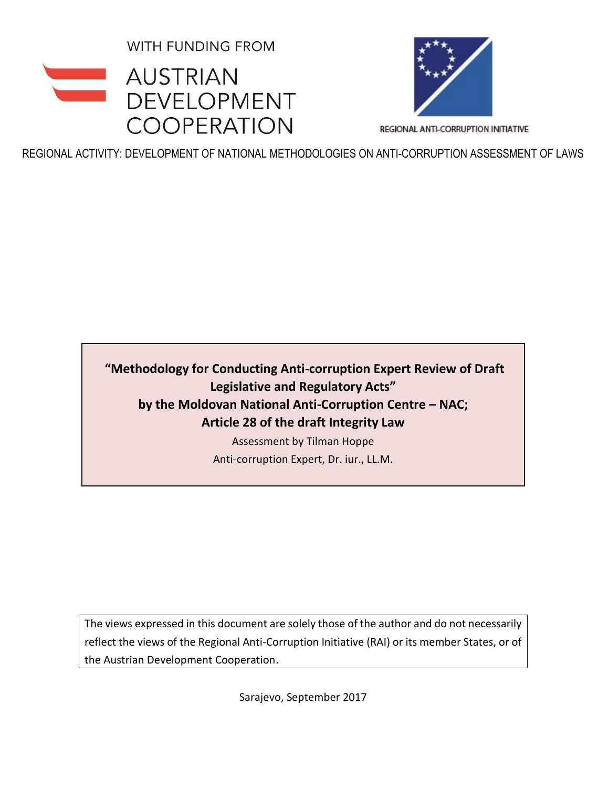**WITH FUNDING FROM** 





REGIONAL ANTI-CORRUPTION INITIATIVE

REGIONAL ACTIVITY: DEVELOPMENT OF NATIONAL METHODOLOGIES ON ANTI-CORRUPTION ASSESSMENT OF LAWS

**"Methodology for Conducting Anti-corruption Expert Review of Draft Legislative and Regulatory Acts" by the Moldovan National Anti-Corruption Centre – NAC; Article 28 of the draft Integrity Law**

> Assessment by Tilman Hoppe Anti-corruption Expert, Dr. iur., LL.M.

The views expressed in this document are solely those of the author and do not necessarily reflect the views of the Regional Anti-Corruption Initiative (RAI) or its member States, or of the Austrian Development Cooperation.

Sarajevo, September 2017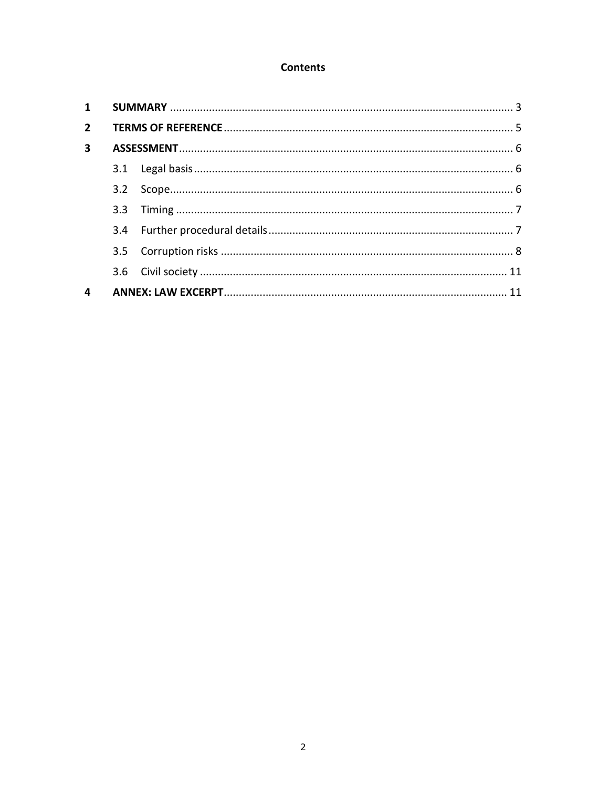# **Contents**

| $2^{\circ}$             |  |  |  |
|-------------------------|--|--|--|
| $\overline{\mathbf{3}}$ |  |  |  |
|                         |  |  |  |
|                         |  |  |  |
|                         |  |  |  |
|                         |  |  |  |
|                         |  |  |  |
|                         |  |  |  |
| 4                       |  |  |  |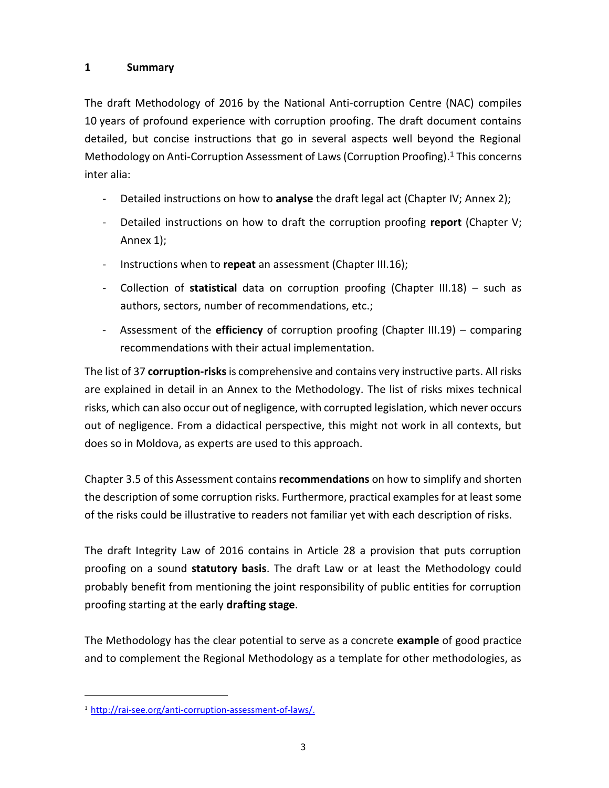# <span id="page-2-0"></span>**1 Summary**

The draft Methodology of 2016 by the National Anti-corruption Centre (NAC) compiles 10 years of profound experience with corruption proofing. The draft document contains detailed, but concise instructions that go in several aspects well beyond the Regional Methodology on Anti-Corruption Assessment of Laws (Corruption Proofing). <sup>1</sup> This concerns inter alia:

- Detailed instructions on how to **analyse** the draft legal act (Chapter IV; Annex 2);
- Detailed instructions on how to draft the corruption proofing **report** (Chapter V; Annex 1);
- Instructions when to **repeat** an assessment (Chapter III.16);
- Collection of **statistical** data on corruption proofing (Chapter III.18) such as authors, sectors, number of recommendations, etc.;
- Assessment of the **efficiency** of corruption proofing (Chapter III.19) comparing recommendations with their actual implementation.

The list of 37 **corruption-risks**is comprehensive and contains very instructive parts. All risks are explained in detail in an Annex to the Methodology. The list of risks mixes technical risks, which can also occur out of negligence, with corrupted legislation, which never occurs out of negligence. From a didactical perspective, this might not work in all contexts, but does so in Moldova, as experts are used to this approach.

Chapter 3.5 of this Assessment contains **recommendations** on how to simplify and shorten the description of some corruption risks. Furthermore, practical examples for at least some of the risks could be illustrative to readers not familiar yet with each description of risks.

The draft Integrity Law of 2016 contains in Article 28 a provision that puts corruption proofing on a sound **statutory basis**. The draft Law or at least the Methodology could probably benefit from mentioning the joint responsibility of public entities for corruption proofing starting at the early **drafting stage**.

The Methodology has the clear potential to serve as a concrete **example** of good practice and to complement the Regional Methodology as a template for other methodologies, as

ı

<sup>1</sup> [http://rai-see.org/anti-corruption-assessment-of-laws/.](http://rai-see.org/anti-corruption-assessment-of-laws/)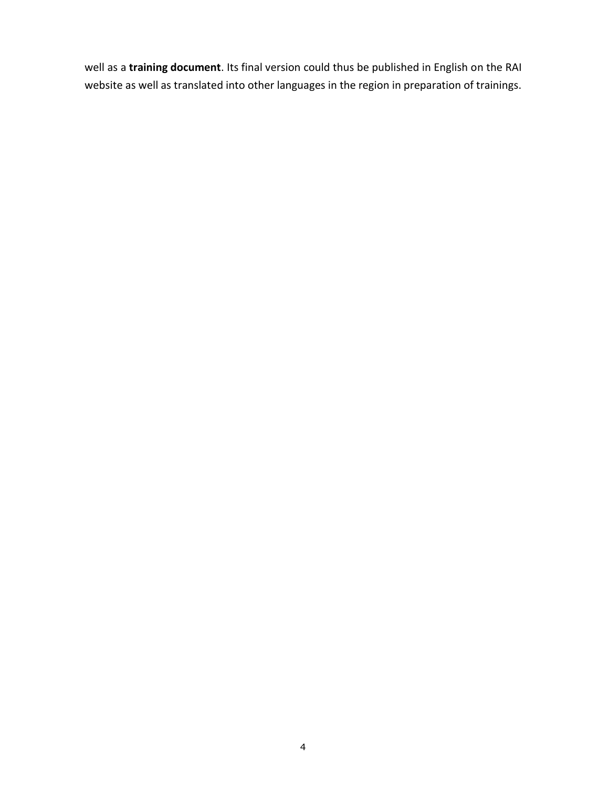well as a **training document**. Its final version could thus be published in English on the RAI website as well as translated into other languages in the region in preparation of trainings.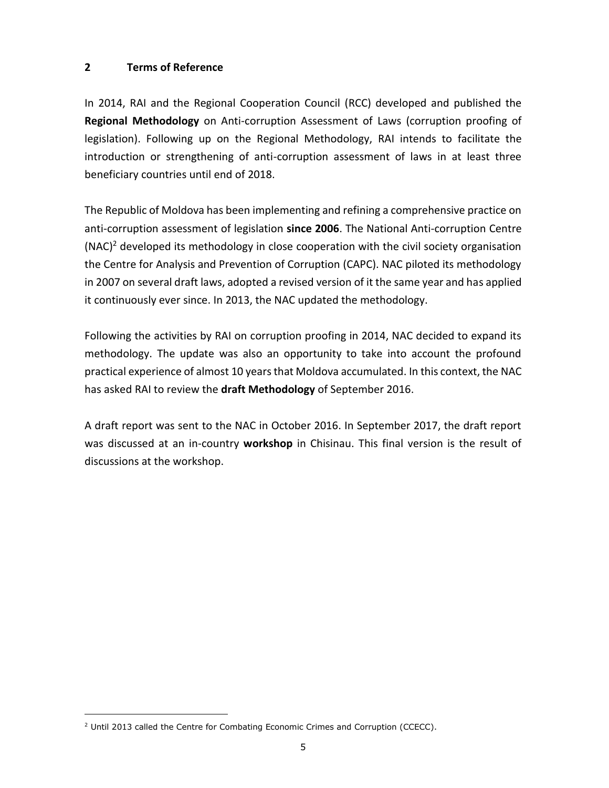### <span id="page-4-0"></span>**2 Terms of Reference**

In 2014, RAI and the Regional Cooperation Council (RCC) developed and published the **Regional Methodology** on Anti-corruption Assessment of Laws (corruption proofing of legislation). Following up on the Regional Methodology, RAI intends to facilitate the introduction or strengthening of anti-corruption assessment of laws in at least three beneficiary countries until end of 2018.

The Republic of Moldova has been implementing and refining a comprehensive practice on anti-corruption assessment of legislation **since 2006**. The National Anti-corruption Centre  $(NAC)^2$  developed its methodology in close cooperation with the civil society organisation the Centre for Analysis and Prevention of Corruption (CAPC). NAC piloted its methodology in 2007 on several draft laws, adopted a revised version of it the same year and has applied it continuously ever since. In 2013, the NAC updated the methodology.

Following the activities by RAI on corruption proofing in 2014, NAC decided to expand its methodology. The update was also an opportunity to take into account the profound practical experience of almost 10 years that Moldova accumulated. In this context, the NAC has asked RAI to review the **draft Methodology** of September 2016.

A draft report was sent to the NAC in October 2016. In September 2017, the draft report was discussed at an in-country **workshop** in Chisinau. This final version is the result of discussions at the workshop.

ı

<sup>&</sup>lt;sup>2</sup> Until 2013 called the Centre for Combating Economic Crimes and Corruption (CCECC).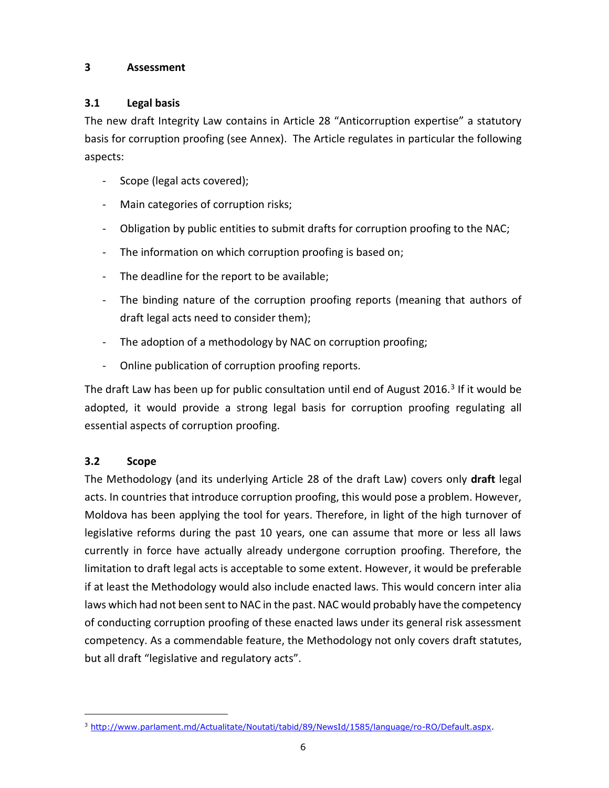### <span id="page-5-0"></span>**3 Assessment**

# <span id="page-5-1"></span>**3.1 Legal basis**

The new draft Integrity Law contains in Article 28 "Anticorruption expertise" a statutory basis for corruption proofing (see Annex). The Article regulates in particular the following aspects:

- Scope (legal acts covered);
- Main categories of corruption risks;
- Obligation by public entities to submit drafts for corruption proofing to the NAC;
- The information on which corruption proofing is based on;
- The deadline for the report to be available;
- The binding nature of the corruption proofing reports (meaning that authors of draft legal acts need to consider them);
- The adoption of a methodology by NAC on corruption proofing;
- Online publication of corruption proofing reports.

The draft Law has been up for public consultation until end of August 2016.<sup>3</sup> If it would be adopted, it would provide a strong legal basis for corruption proofing regulating all essential aspects of corruption proofing.

# <span id="page-5-2"></span>**3.2 Scope**

ı

The Methodology (and its underlying Article 28 of the draft Law) covers only **draft** legal acts. In countries that introduce corruption proofing, this would pose a problem. However, Moldova has been applying the tool for years. Therefore, in light of the high turnover of legislative reforms during the past 10 years, one can assume that more or less all laws currently in force have actually already undergone corruption proofing. Therefore, the limitation to draft legal acts is acceptable to some extent. However, it would be preferable if at least the Methodology would also include enacted laws. This would concern inter alia laws which had not been sent to NAC in the past. NAC would probably have the competency of conducting corruption proofing of these enacted laws under its general risk assessment competency. As a commendable feature, the Methodology not only covers draft statutes, but all draft "legislative and regulatory acts".

<sup>3</sup> [http://www.parlament.md/Actualitate/Noutati/tabid/89/NewsId/1585/language/ro-RO/Default.aspx.](http://www.parlament.md/Actualitate/Noutati/tabid/89/NewsId/1585/language/ro-RO/Default.aspx)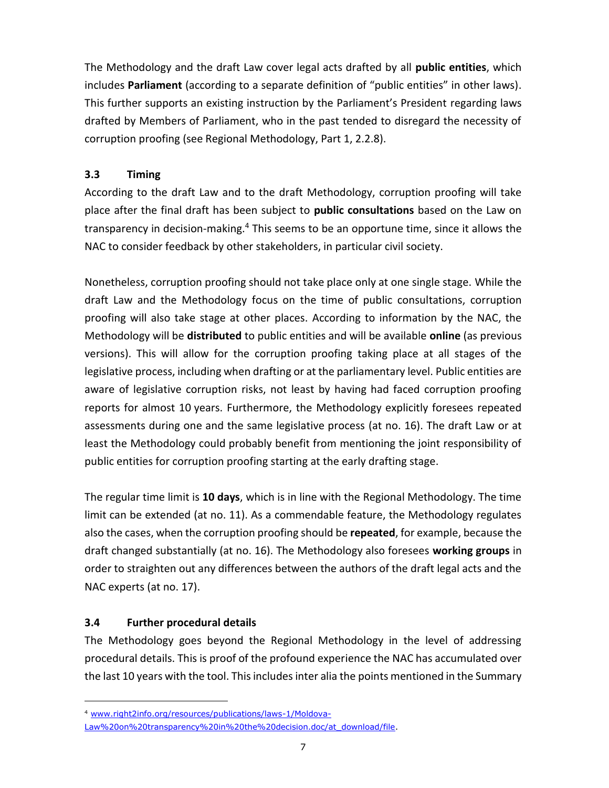The Methodology and the draft Law cover legal acts drafted by all **public entities**, which includes **Parliament** (according to a separate definition of "public entities" in other laws). This further supports an existing instruction by the Parliament's President regarding laws drafted by Members of Parliament, who in the past tended to disregard the necessity of corruption proofing (see Regional Methodology, Part 1, 2.2.8).

# <span id="page-6-0"></span>**3.3 Timing**

According to the draft Law and to the draft Methodology, corruption proofing will take place after the final draft has been subject to **public consultations** based on the Law on transparency in decision-making.<sup>4</sup> This seems to be an opportune time, since it allows the NAC to consider feedback by other stakeholders, in particular civil society.

Nonetheless, corruption proofing should not take place only at one single stage. While the draft Law and the Methodology focus on the time of public consultations, corruption proofing will also take stage at other places. According to information by the NAC, the Methodology will be **distributed** to public entities and will be available **online** (as previous versions). This will allow for the corruption proofing taking place at all stages of the legislative process, including when drafting or at the parliamentary level. Public entities are aware of legislative corruption risks, not least by having had faced corruption proofing reports for almost 10 years. Furthermore, the Methodology explicitly foresees repeated assessments during one and the same legislative process (at no. 16). The draft Law or at least the Methodology could probably benefit from mentioning the joint responsibility of public entities for corruption proofing starting at the early drafting stage.

The regular time limit is **10 days**, which is in line with the Regional Methodology. The time limit can be extended (at no. 11). As a commendable feature, the Methodology regulates also the cases, when the corruption proofing should be **repeated**, for example, because the draft changed substantially (at no. 16). The Methodology also foresees **working groups** in order to straighten out any differences between the authors of the draft legal acts and the NAC experts (at no. 17).

# <span id="page-6-1"></span>**3.4 Further procedural details**

ı

The Methodology goes beyond the Regional Methodology in the level of addressing procedural details. This is proof of the profound experience the NAC has accumulated over the last 10 years with the tool. This includes inter alia the points mentioned in the Summary

<sup>4</sup> [www.right2info.org/resources/publications/laws-1/Moldova-](http://www.right2info.org/resources/publications/laws-1/Moldova-Law%20on%20transparency%20in%20the%20decision.doc/at_download/file)

[Law%20on%20transparency%20in%20the%20decision.doc/at\\_download/file.](http://www.right2info.org/resources/publications/laws-1/Moldova-Law%20on%20transparency%20in%20the%20decision.doc/at_download/file)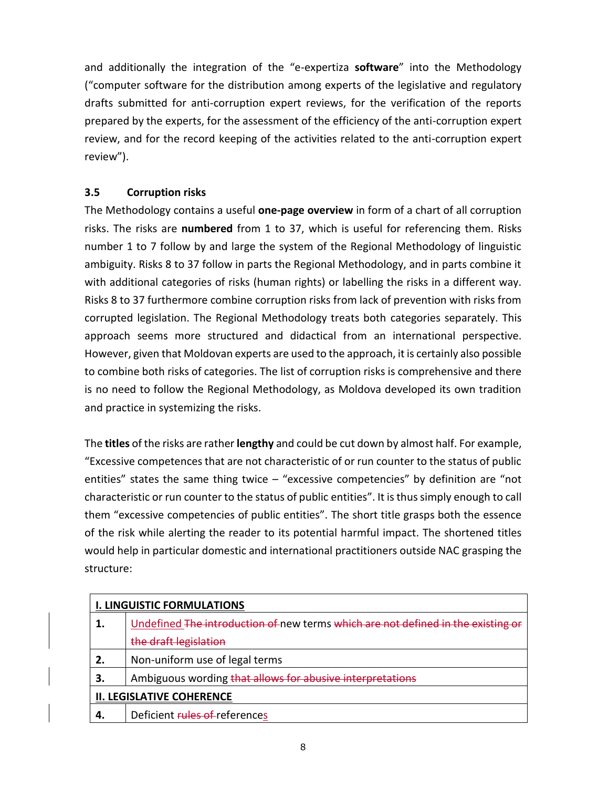and additionally the integration of the "e-expertiza **software**" into the Methodology ("computer software for the distribution among experts of the legislative and regulatory drafts submitted for anti-corruption expert reviews, for the verification of the reports prepared by the experts, for the assessment of the efficiency of the anti-corruption expert review, and for the record keeping of the activities related to the anti-corruption expert review").

# <span id="page-7-0"></span>**3.5 Corruption risks**

The Methodology contains a useful **one-page overview** in form of a chart of all corruption risks. The risks are **numbered** from 1 to 37, which is useful for referencing them. Risks number 1 to 7 follow by and large the system of the Regional Methodology of linguistic ambiguity. Risks 8 to 37 follow in parts the Regional Methodology, and in parts combine it with additional categories of risks (human rights) or labelling the risks in a different way. Risks 8 to 37 furthermore combine corruption risks from lack of prevention with risks from corrupted legislation. The Regional Methodology treats both categories separately. This approach seems more structured and didactical from an international perspective. However, given that Moldovan experts are used to the approach, it is certainly also possible to combine both risks of categories. The list of corruption risks is comprehensive and there is no need to follow the Regional Methodology, as Moldova developed its own tradition and practice in systemizing the risks.

The **titles** of the risks are rather **lengthy** and could be cut down by almost half. For example, "Excessive competences that are not characteristic of or run counter to the status of public entities" states the same thing twice  $-$  "excessive competencies" by definition are "not characteristic or run counter to the status of public entities". It is thus simply enough to call them "excessive competencies of public entities". The short title grasps both the essence of the risk while alerting the reader to its potential harmful impact. The shortened titles would help in particular domestic and international practitioners outside NAC grasping the structure:

| <b>I. LINGUISTIC FORMULATIONS</b> |                                                                                  |  |
|-----------------------------------|----------------------------------------------------------------------------------|--|
|                                   | Undefined The introduction of new terms which are not defined in the existing or |  |
|                                   | the draft legislation                                                            |  |
| 2.                                | Non-uniform use of legal terms                                                   |  |
| З.                                | Ambiguous wording that allows for abusive interpretations                        |  |
| <b>II. LEGISLATIVE COHERENCE</b>  |                                                                                  |  |
|                                   | Deficient rules of references                                                    |  |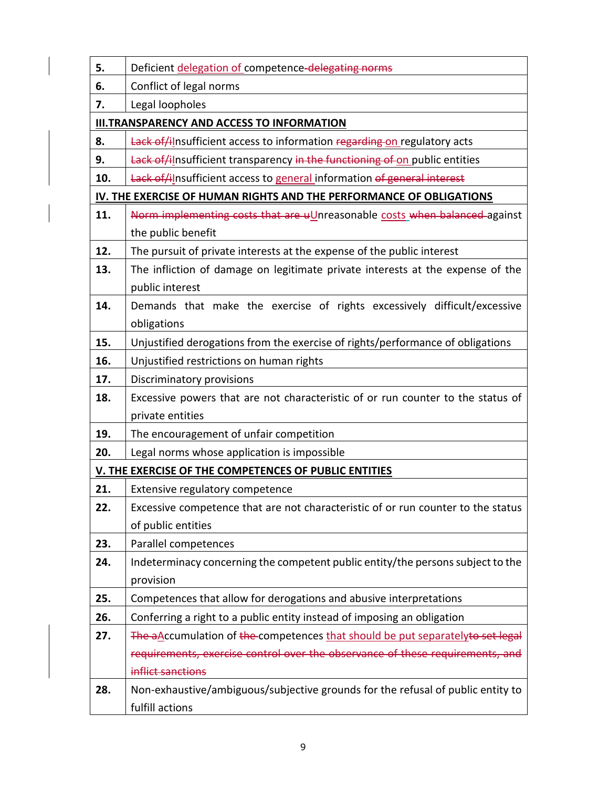| 5.                                                                  | Deficient delegation of competence-delegating norms                              |  |  |  |
|---------------------------------------------------------------------|----------------------------------------------------------------------------------|--|--|--|
| 6.                                                                  | Conflict of legal norms                                                          |  |  |  |
| 7.                                                                  | Legal loopholes                                                                  |  |  |  |
| <b>III.TRANSPARENCY AND ACCESS TO INFORMATION</b>                   |                                                                                  |  |  |  |
| 8.                                                                  | Lack of/ilnsufficient access to information regarding on regulatory acts         |  |  |  |
| 9.                                                                  | Lack of/ilnsufficient transparency in the functioning of on public entities      |  |  |  |
| 10.                                                                 | Lack of/ilnsufficient access to general information of general interest          |  |  |  |
| IV. THE EXERCISE OF HUMAN RIGHTS AND THE PERFORMANCE OF OBLIGATIONS |                                                                                  |  |  |  |
| 11.                                                                 | Norm implementing costs that are uUnreasonable costs when balanced against       |  |  |  |
|                                                                     | the public benefit                                                               |  |  |  |
| 12.                                                                 | The pursuit of private interests at the expense of the public interest           |  |  |  |
| 13.                                                                 | The infliction of damage on legitimate private interests at the expense of the   |  |  |  |
|                                                                     | public interest                                                                  |  |  |  |
| 14.                                                                 | Demands that make the exercise of rights excessively difficult/excessive         |  |  |  |
|                                                                     | obligations                                                                      |  |  |  |
| 15.                                                                 | Unjustified derogations from the exercise of rights/performance of obligations   |  |  |  |
| 16.                                                                 | Unjustified restrictions on human rights                                         |  |  |  |
| 17.                                                                 | Discriminatory provisions                                                        |  |  |  |
| 18.                                                                 | Excessive powers that are not characteristic of or run counter to the status of  |  |  |  |
|                                                                     | private entities                                                                 |  |  |  |
| 19.                                                                 | The encouragement of unfair competition                                          |  |  |  |
| 20.                                                                 | Legal norms whose application is impossible                                      |  |  |  |
|                                                                     | V. THE EXERCISE OF THE COMPETENCES OF PUBLIC ENTITIES                            |  |  |  |
| 21.                                                                 | Extensive regulatory competence                                                  |  |  |  |
| 22.                                                                 | Excessive competence that are not characteristic of or run counter to the status |  |  |  |
|                                                                     | of public entities                                                               |  |  |  |
| 23.                                                                 | Parallel competences                                                             |  |  |  |
| 24.                                                                 | Indeterminacy concerning the competent public entity/the persons subject to the  |  |  |  |
|                                                                     | provision                                                                        |  |  |  |
| 25.                                                                 | Competences that allow for derogations and abusive interpretations               |  |  |  |
| 26.                                                                 | Conferring a right to a public entity instead of imposing an obligation          |  |  |  |
| 27.                                                                 | The aAccumulation of the competences that should be put separatelyte set legal   |  |  |  |
|                                                                     | requirements, exercise control over the observance of these requirements, and    |  |  |  |
|                                                                     | inflict sanctions                                                                |  |  |  |
| 28.                                                                 | Non-exhaustive/ambiguous/subjective grounds for the refusal of public entity to  |  |  |  |
|                                                                     | fulfill actions                                                                  |  |  |  |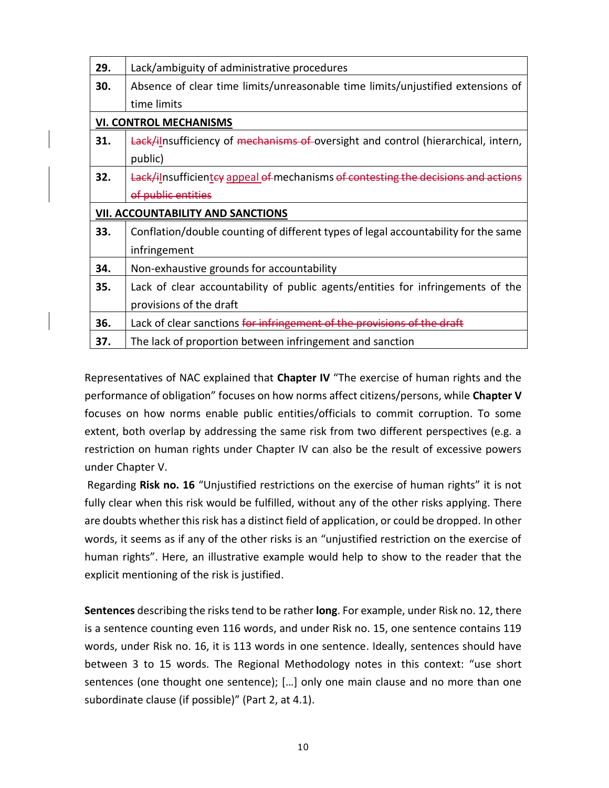| 29.                                      | Lack/ambiguity of administrative procedures                                                         |  |  |
|------------------------------------------|-----------------------------------------------------------------------------------------------------|--|--|
| 30.                                      | Absence of clear time limits/unreasonable time limits/unjustified extensions of                     |  |  |
|                                          | time limits                                                                                         |  |  |
| <b>VI. CONTROL MECHANISMS</b>            |                                                                                                     |  |  |
| 31.                                      | <b>Lack/ilnsufficiency of <del>mechanisms of</del>-oversight and control (hierarchical, intern,</b> |  |  |
|                                          | public)                                                                                             |  |  |
| 32.                                      | Lack/ilnsufficientey appeal of mechanisms of contesting the decisions and ac                        |  |  |
|                                          | of public entities                                                                                  |  |  |
| <b>VII. ACCOUNTABILITY AND SANCTIONS</b> |                                                                                                     |  |  |
| 33.                                      | Conflation/double counting of different types of legal accountability for the same                  |  |  |
|                                          | infringement                                                                                        |  |  |
| 34.                                      | Non-exhaustive grounds for accountability                                                           |  |  |
| 35.                                      | Lack of clear accountability of public agents/entities for infringements of the                     |  |  |
|                                          | provisions of the draft                                                                             |  |  |
| 36.                                      | Lack of clear sanctions for infringement of the provisions of the draft                             |  |  |
| 37.                                      | The lack of proportion between infringement and sanction                                            |  |  |

Representatives of NAC explained that **Chapter IV** "The exercise of human rights and the performance of obligation" focuses on how norms affect citizens/persons, while **Chapter V** focuses on how norms enable public entities/officials to commit corruption. To some extent, both overlap by addressing the same risk from two different perspectives (e.g. a restriction on human rights under Chapter IV can also be the result of excessive powers under Chapter V.

Regarding **Risk no. 16** "Unjustified restrictions on the exercise of human rights" it is not fully clear when this risk would be fulfilled, without any of the other risks applying. There are doubts whether this risk has a distinct field of application, or could be dropped. In other words, it seems as if any of the other risks is an "unjustified restriction on the exercise of human rights". Here, an illustrative example would help to show to the reader that the explicit mentioning of the risk is justified.

**Sentences** describing the risks tend to be rather **long**. For example, under Risk no. 12, there is a sentence counting even 116 words, and under Risk no. 15, one sentence contains 119 words, under Risk no. 16, it is 113 words in one sentence. Ideally, sentences should have between 3 to 15 words. The Regional Methodology notes in this context: "use short sentences (one thought one sentence); […] only one main clause and no more than one subordinate clause (if possible)" (Part 2, at 4.1).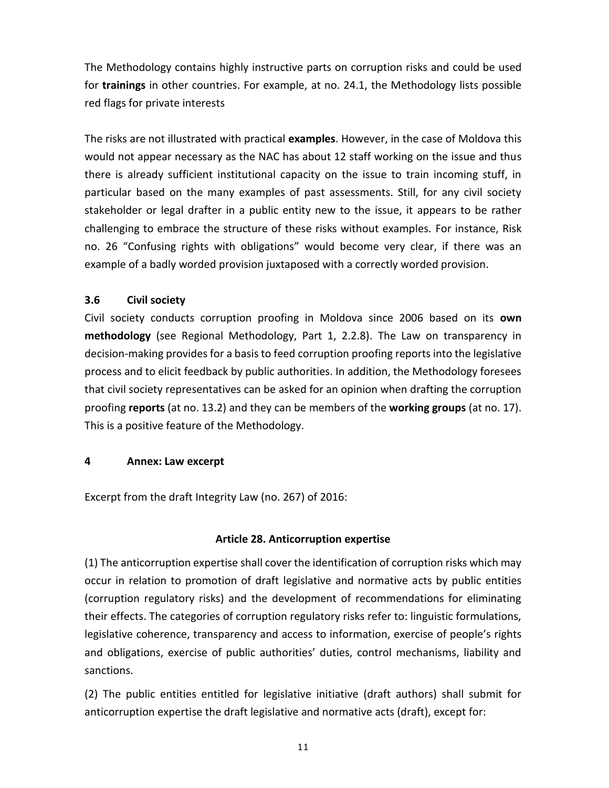The Methodology contains highly instructive parts on corruption risks and could be used for **trainings** in other countries. For example, at no. 24.1, the Methodology lists possible red flags for private interests

The risks are not illustrated with practical **examples**. However, in the case of Moldova this would not appear necessary as the NAC has about 12 staff working on the issue and thus there is already sufficient institutional capacity on the issue to train incoming stuff, in particular based on the many examples of past assessments. Still, for any civil society stakeholder or legal drafter in a public entity new to the issue, it appears to be rather challenging to embrace the structure of these risks without examples. For instance, Risk no. 26 "Confusing rights with obligations" would become very clear, if there was an example of a badly worded provision juxtaposed with a correctly worded provision.

#### <span id="page-10-0"></span>**3.6 Civil society**

Civil society conducts corruption proofing in Moldova since 2006 based on its **own methodology** (see Regional Methodology, Part 1, 2.2.8). The Law on transparency in decision-making provides for a basis to feed corruption proofing reports into the legislative process and to elicit feedback by public authorities. In addition, the Methodology foresees that civil society representatives can be asked for an opinion when drafting the corruption proofing **reports** (at no. 13.2) and they can be members of the **working groups** (at no. 17). This is a positive feature of the Methodology.

#### <span id="page-10-1"></span>**4 Annex: Law excerpt**

Excerpt from the draft Integrity Law (no. 267) of 2016:

# **Article 28. Anticorruption expertise**

(1) The anticorruption expertise shall cover the identification of corruption risks which may occur in relation to promotion of draft legislative and normative acts by public entities (corruption regulatory risks) and the development of recommendations for eliminating their effects. The categories of corruption regulatory risks refer to: linguistic formulations, legislative coherence, transparency and access to information, exercise of people's rights and obligations, exercise of public authorities' duties, control mechanisms, liability and sanctions.

(2) The public entities entitled for legislative initiative (draft authors) shall submit for anticorruption expertise the draft legislative and normative acts (draft), except for: